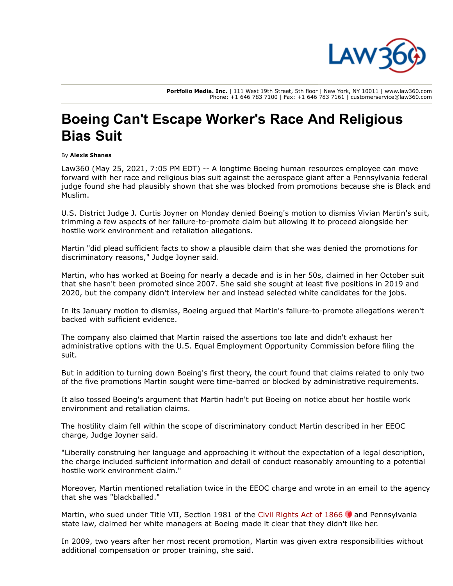

**Portfolio Media. Inc.** | 111 West 19th Street, 5th floor | New York, NY 10011 | www.law360.com Phone: +1 646 783 7100 | Fax: +1 646 783 7161 | customerservice@law360.com

## **Boeing Can't Escape Worker's Race And Religious Bias Suit**

## By **Alexis Shanes**

Law360 (May 25, 2021, 7:05 PM EDT) -- A longtime [Boeing](https://www.law360.com/companies/the-boeing-co) human resources employee can move forward with her race and religious bias suit against the aerospace giant after a Pennsylvania federal judge found she had plausibly shown that she was blocked from promotions because she is Black and Muslim.

U.S. District Judge J. Curtis Joyner on Monday denied Boeing's motion to dismiss Vivian Martin's suit, trimming a few aspects of her failure-to-promote claim but allowing it to proceed alongside her hostile work environment and retaliation allegations.

Martin "did plead sufficient facts to show a plausible claim that she was denied the promotions for discriminatory reasons," Judge Joyner said.

Martin, who has worked at Boeing for nearly a decade and is in her 50s, claimed in her October suit that she hasn't been promoted since 2007. She said she sought at least five positions in 2019 and 2020, but the company didn't interview her and instead selected white candidates for the jobs.

In its January motion to dismiss, Boeing argued that Martin's failure-to-promote allegations weren't backed with sufficient evidence.

The company also claimed that Martin raised the assertions too late and didn't exhaust her administrative options with the [U.S. Equal Employment Opportunity Commission](https://www.law360.com/agencies/equal-employment-opportunity-commission) before filing the suit.

But in addition to turning down Boeing's first theory, the court found that claims related to only two of the five promotions Martin sought were time-barred or blocked by administrative requirements.

It also tossed Boeing's argument that Martin hadn't put Boeing on notice about her hostile work environment and retaliation claims.

The hostility claim fell within the scope of discriminatory conduct Martin described in her EEOC charge, Judge Joyner said.

"Liberally construing her language and approaching it without the expectation of a legal description, the charge included sufficient information and detail of conduct reasonably amounting to a potential hostile work environment claim."

Moreover, Martin mentioned retaliation twice in the EEOC charge and wrote in an email to the agency that she was "blackballed."

Martin, who sued under Title VII, Section 1981 of the Civil Rights Act of 1866  $\bullet$  and Pennsylvania state law, claimed her white managers at Boeing made it clear that they didn't like her.

In 2009, two years after her most recent promotion, Martin was given extra responsibilities without additional compensation or proper training, she said.